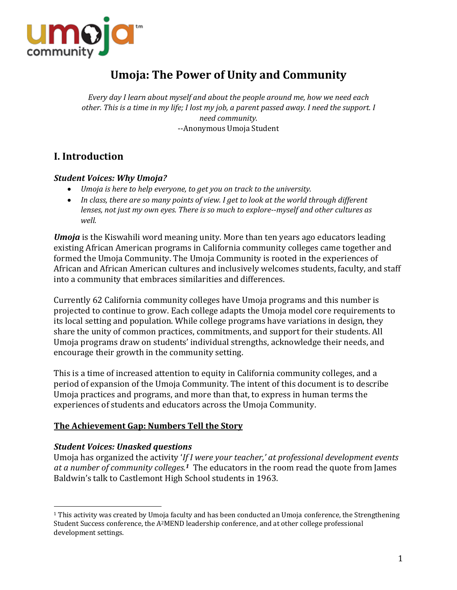

# **Umoja: The Power of Unity and Community**

*Every* day I learn about myself and about the people around me, how we need each *other.* This is a time in my life; I lost my job, a parent passed away. I need the support. I *need community.* --Anonymous Umoja Student

## **I. Introduction**

#### *Student Voices: Why Umoja?*

- *Umoja is here to help everyone, to get you on track to the university.*
- In class, there are so many points of view. I get to look at the world through different *lenses, not just my own eyes. There is so much to explore--myself and other cultures as well.*

*Umoja* is the Kiswahili word meaning unity. More than ten years ago educators leading existing African American programs in California community colleges came together and formed the Umoja Community. The Umoja Community is rooted in the experiences of African and African American cultures and inclusively welcomes students, faculty, and staff into a community that embraces similarities and differences.

Currently 62 California community colleges have Umoja programs and this number is projected to continue to grow. Each college adapts the Umoja model core requirements to its local setting and population. While college programs have variations in design, they share the unity of common practices, commitments, and support for their students. All Umoja programs draw on students' individual strengths, acknowledge their needs, and encourage their growth in the community setting.

This is a time of increased attention to equity in California community colleges, and a period of expansion of the Umoja Community. The intent of this document is to describe Umoja practices and programs, and more than that, to express in human terms the experiences of students and educators across the Umoja Community.

## **The Achievement Gap: Numbers Tell the Story**

## **Student Voices: Unasked questions**

 

Umoja has organized the activity '*If I were your teacher,' at professional development events* at a number of community colleges.<sup>1</sup> The educators in the room read the quote from James Baldwin's talk to Castlemont High School students in 1963.

 $1$  This activity was created by Umoja faculty and has been conducted an Umoja conference, the Strengthening Student Success conference, the A<sup>2</sup>MEND leadership conference, and at other college professional development settings.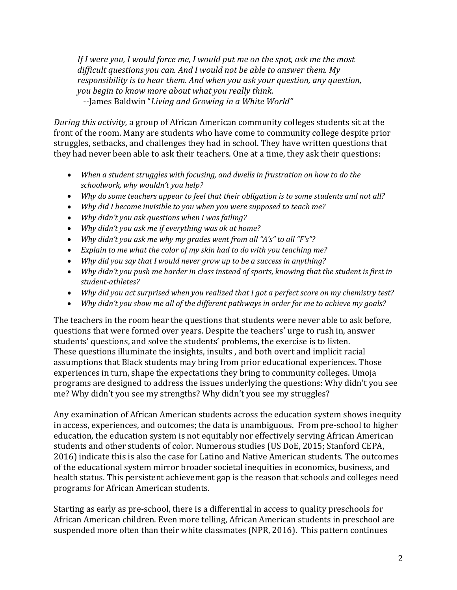*If I* were you, I would force me, I would put me on the spot, ask me the most difficult questions you can. And I would not be able to answer them. My *responsibility is to hear them. And when you ask your question, any question, you begin to know more about what you really think.* --James Baldwin "Living and Growing in a White World"

*During this activity,* a group of African American community colleges students sit at the front of the room. Many are students who have come to community college despite prior struggles, setbacks, and challenges they had in school. They have written questions that they had never been able to ask their teachers. One at a time, they ask their questions:

- *When a student struggles with focusing, and dwells in frustration on how to do the* schoolwork, why wouldn't you help?
- *Why do some teachers appear to feel that their obligation is to some students and not all?*
- *Why did I become invisible to you when you were supposed to teach me?*
- *Why didn't you ask questions when I was failing?*
- *Why didn't you ask me if everything was ok at home?*
- *Why didn't you ask me why my grades went from all "A's" to all "F's"?*
- *Explain to me what the color of my skin had to do with you teaching me?*
- *Why did you say that I would never grow up to be a success in anything?*
- *Why didn't you push me harder in class instead of sports, knowing that the student is first in student-athletes?*
- *Why did you act surprised when you realized that I got a perfect score on my chemistry test?*
- Why didn't you show me all of the different pathways in order for me to achieve my goals?

The teachers in the room hear the questions that students were never able to ask before, questions that were formed over years. Despite the teachers' urge to rush in, answer students' questions, and solve the students' problems, the exercise is to listen. These questions illuminate the insights, insults, and both overt and implicit racial assumptions that Black students may bring from prior educational experiences. Those experiences in turn, shape the expectations they bring to community colleges. Umoja programs are designed to address the issues underlying the questions: Why didn't you see me? Why didn't you see my strengths? Why didn't you see my struggles?

Any examination of African American students across the education system shows inequity in access, experiences, and outcomes; the data is unambiguous. From pre-school to higher education, the education system is not equitably nor effectively serving African American students and other students of color. Numerous studies (US DoE, 2015; Stanford CEPA, 2016) indicate this is also the case for Latino and Native American students. The outcomes of the educational system mirror broader societal inequities in economics, business, and health status. This persistent achievement gap is the reason that schools and colleges need programs for African American students.

Starting as early as pre-school, there is a differential in access to quality preschools for African American children. Even more telling, African American students in preschool are suspended more often than their white classmates (NPR, 2016). This pattern continues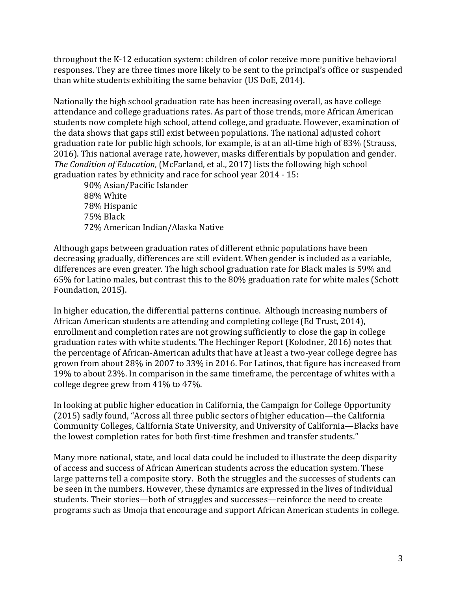throughout the K-12 education system: children of color receive more punitive behavioral responses. They are three times more likely to be sent to the principal's office or suspended than white students exhibiting the same behavior (US DoE, 2014).

Nationally the high school graduation rate has been increasing overall, as have college attendance and college graduations rates. As part of those trends, more African American students now complete high school, attend college, and graduate. However, examination of the data shows that gaps still exist between populations. The national adjusted cohort graduation rate for public high schools, for example, is at an all-time high of 83% (Strauss, 2016). This national average rate, however, masks differentials by population and gender. *The Condition of Education*, (McFarland, et al., 2017) lists the following high school graduation rates by ethnicity and race for school year  $2014 - 15$ :

90% Asian/Pacific Islander 88% White 78% Hispanic 75% Black 72% American Indian/Alaska Native 

Although gaps between graduation rates of different ethnic populations have been decreasing gradually, differences are still evident. When gender is included as a variable, differences are even greater. The high school graduation rate for Black males is 59% and 65% for Latino males, but contrast this to the 80% graduation rate for white males (Schott Foundation, 2015).

In higher education, the differential patterns continue. Although increasing numbers of African American students are attending and completing college (Ed Trust, 2014), enrollment and completion rates are not growing sufficiently to close the gap in college graduation rates with white students. The Hechinger Report (Kolodner, 2016) notes that the percentage of African-American adults that have at least a two-year college degree has grown from about 28% in 2007 to 33% in 2016. For Latinos, that figure has increased from 19% to about 23%. In comparison in the same timeframe, the percentage of whites with a college degree grew from 41% to 47%.

In looking at public higher education in California, the Campaign for College Opportunity (2015) sadly found, "Across all three public sectors of higher education—the California Community Colleges, California State University, and University of California-Blacks have the lowest completion rates for both first-time freshmen and transfer students."

Many more national, state, and local data could be included to illustrate the deep disparity of access and success of African American students across the education system. These large patterns tell a composite story. Both the struggles and the successes of students can be seen in the numbers. However, these dynamics are expressed in the lives of individual students. Their stories—both of struggles and successes—reinforce the need to create programs such as Umoja that encourage and support African American students in college.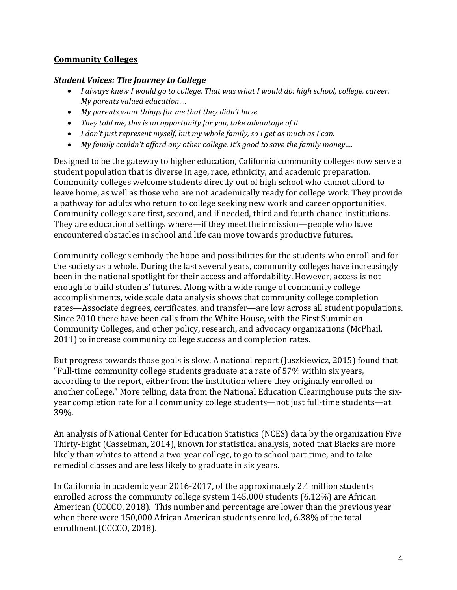#### **Community Colleges**

#### *Student Voices: The Journey to College*

- *I* always knew I would go to college. That was what I would do: high school, college, career. *My parents valued education....*
- *My parents want things for me that they didn't have*
- They told me, this is an opportunity for you, take advantage of it
- *I don't just represent myself, but my whole family, so I get as much as I can.*
- *My family couldn't afford any other college. It's good to save the family money....*

Designed to be the gateway to higher education, California community colleges now serve a student population that is diverse in age, race, ethnicity, and academic preparation. Community colleges welcome students directly out of high school who cannot afford to leave home, as well as those who are not academically ready for college work. They provide a pathway for adults who return to college seeking new work and career opportunities. Community colleges are first, second, and if needed, third and fourth chance institutions. They are educational settings where—if they meet their mission—people who have encountered obstacles in school and life can move towards productive futures.

Community colleges embody the hope and possibilities for the students who enroll and for the society as a whole. During the last several years, community colleges have increasingly been in the national spotlight for their access and affordability. However, access is not enough to build students' futures. Along with a wide range of community college accomplishments, wide scale data analysis shows that community college completion rates—Associate degrees, certificates, and transfer—are low across all student populations. Since 2010 there have been calls from the White House, with the First Summit on Community Colleges, and other policy, research, and advocacy organizations (McPhail, 2011) to increase community college success and completion rates.

But progress towards those goals is slow. A national report (Juszkiewicz, 2015) found that "Full-time community college students graduate at a rate of 57% within six years, according to the report, either from the institution where they originally enrolled or another college." More telling, data from the National Education Clearinghouse puts the sixyear completion rate for all community college students—not just full-time students—at 39%.

An analysis of National Center for Education Statistics (NCES) data by the organization Five Thirty-Eight (Casselman, 2014), known for statistical analysis, noted that Blacks are more likely than whites to attend a two-year college, to go to school part time, and to take remedial classes and are less likely to graduate in six years.

In California in academic year 2016-2017, of the approximately 2.4 million students enrolled across the community college system  $145,000$  students  $(6.12\%)$  are African American (CCCCO, 2018). This number and percentage are lower than the previous year when there were 150,000 African American students enrolled, 6.38% of the total enrollment (CCCCO, 2018).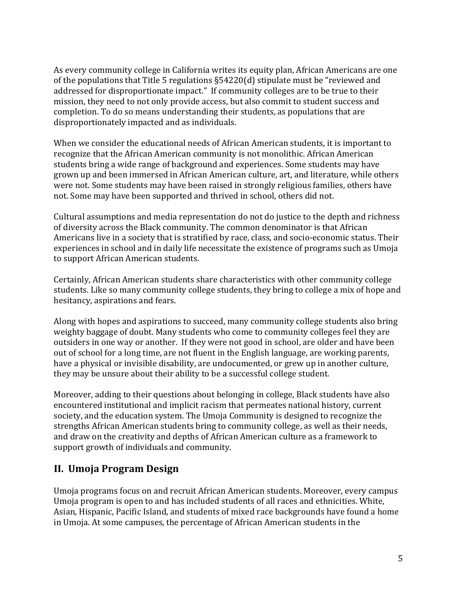As every community college in California writes its equity plan, African Americans are one of the populations that Title 5 regulations  $\S54220(d)$  stipulate must be "reviewed and addressed for disproportionate impact." If community colleges are to be true to their mission, they need to not only provide access, but also commit to student success and completion. To do so means understanding their students, as populations that are disproportionately impacted and as individuals.

When we consider the educational needs of African American students, it is important to recognize that the African American community is not monolithic. African American students bring a wide range of background and experiences. Some students may have grown up and been immersed in African American culture, art, and literature, while others were not. Some students may have been raised in strongly religious families, others have not. Some may have been supported and thrived in school, others did not.

Cultural assumptions and media representation do not do justice to the depth and richness of diversity across the Black community. The common denominator is that African Americans live in a society that is stratified by race, class, and socio-economic status. Their experiences in school and in daily life necessitate the existence of programs such as Umoja to support African American students.

Certainly, African American students share characteristics with other community college students. Like so many community college students, they bring to college a mix of hope and hesitancy, aspirations and fears.

Along with hopes and aspirations to succeed, many community college students also bring weighty baggage of doubt. Many students who come to community colleges feel they are outsiders in one way or another. If they were not good in school, are older and have been out of school for a long time, are not fluent in the English language, are working parents, have a physical or invisible disability, are undocumented, or grew up in another culture, they may be unsure about their ability to be a successful college student.

Moreover, adding to their questions about belonging in college, Black students have also encountered institutional and implicit racism that permeates national history, current society, and the education system. The Umoja Community is designed to recognize the strengths African American students bring to community college, as well as their needs, and draw on the creativity and depths of African American culture as a framework to support growth of individuals and community.

## **II. Umoja Program Design**

Umoja programs focus on and recruit African American students. Moreover, every campus Umoja program is open to and has included students of all races and ethnicities. White, Asian, Hispanic, Pacific Island, and students of mixed race backgrounds have found a home in Umoja. At some campuses, the percentage of African American students in the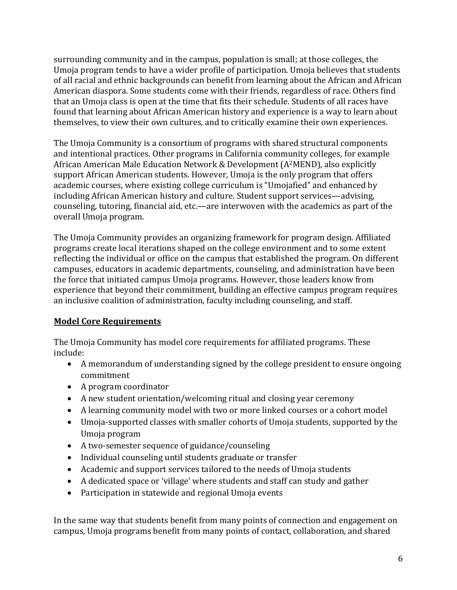surrounding community and in the campus, population is small; at those colleges, the Umoja program tends to have a wider profile of participation. Umoja believes that students of all racial and ethnic backgrounds can benefit from learning about the African and African American diaspora. Some students come with their friends, regardless of race. Others find that an Umoja class is open at the time that fits their schedule. Students of all races have found that learning about African American history and experience is a way to learn about themselves, to view their own cultures, and to critically examine their own experiences.

The Umoja Community is a consortium of programs with shared structural components and intentional practices. Other programs in California community colleges, for example African American Male Education Network & Development (A<sup>2</sup>MEND), also explicitly support African American students. However, Umoja is the only program that offers academic courses, where existing college curriculum is "Umojafied" and enhanced by including African American history and culture. Student support services—advising, counseling, tutoring, financial aid, etc.—are interwoven with the academics as part of the overall Umoja program.

The Umoja Community provides an organizing framework for program design. Affiliated programs create local iterations shaped on the college environment and to some extent reflecting the individual or office on the campus that established the program. On different campuses, educators in academic departments, counseling, and administration have been the force that initiated campus Umoja programs. However, those leaders know from experience that beyond their commitment, building an effective campus program requires an inclusive coalition of administration, faculty including counseling, and staff.

## **Model Core Requirements**

The Umoja Community has model core requirements for affiliated programs. These include: 

- A memorandum of understanding signed by the college president to ensure ongoing commitment
- A program coordinator
- A new student orientation/welcoming ritual and closing year ceremony
- A learning community model with two or more linked courses or a cohort model
- Umoja-supported classes with smaller cohorts of Umoja students, supported by the Umoja program
- A two-semester sequence of guidance/counseling
- Individual counseling until students graduate or transfer
- Academic and support services tailored to the needs of Umoja students
- A dedicated space or 'village' where students and staff can study and gather
- Participation in statewide and regional Umoja events

In the same way that students benefit from many points of connection and engagement on campus, Umoja programs benefit from many points of contact, collaboration, and shared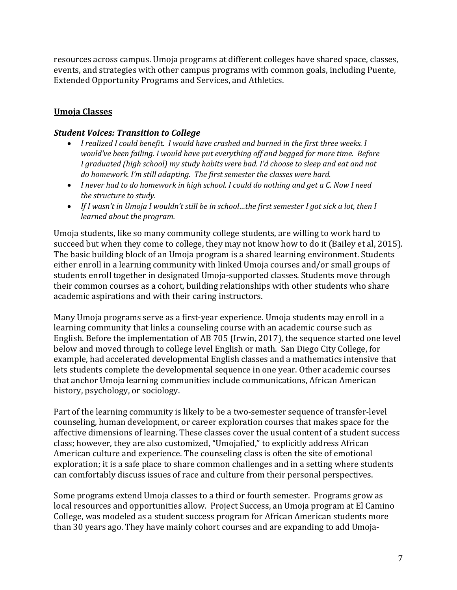resources across campus. Umoja programs at different colleges have shared space, classes, events, and strategies with other campus programs with common goals, including Puente, Extended Opportunity Programs and Services, and Athletics.

## **Umoja Classes**

#### **Student Voices: Transition to College**

- *I* realized I could benefit. I would have crashed and burned in the first three weeks. I would've been failing. I would have put everything off and begged for more time. Before I graduated (high school) my study habits were bad. I'd choose to sleep and eat and not *do homework. I'm still adapting. The first semester the classes were hard.*
- *I never had to do homework in high school. I could do nothing and get a C. Now I need* the structure to study.
- If I wasn't in Umoja I wouldn't still be in school...the first semester I got sick a lot, then I *learned about the program.*

Umoja students, like so many community college students, are willing to work hard to succeed but when they come to college, they may not know how to do it (Bailey et al, 2015). The basic building block of an Umoja program is a shared learning environment. Students either enroll in a learning community with linked Umoja courses and/or small groups of students enroll together in designated Umoja-supported classes. Students move through their common courses as a cohort, building relationships with other students who share academic aspirations and with their caring instructors.

Many Umoja programs serve as a first-year experience. Umoja students may enroll in a learning community that links a counseling course with an academic course such as English. Before the implementation of AB 705 (Irwin, 2017), the sequence started one level below and moved through to college level English or math. San Diego City College, for example, had accelerated developmental English classes and a mathematics intensive that lets students complete the developmental sequence in one year. Other academic courses that anchor Umoja learning communities include communications, African American history, psychology, or sociology.

Part of the learning community is likely to be a two-semester sequence of transfer-level counseling, human development, or career exploration courses that makes space for the affective dimensions of learning. These classes cover the usual content of a student success class; however, they are also customized, "Umojafied," to explicitly address African American culture and experience. The counseling class is often the site of emotional exploration; it is a safe place to share common challenges and in a setting where students can comfortably discuss issues of race and culture from their personal perspectives.

Some programs extend Umoja classes to a third or fourth semester. Programs grow as local resources and opportunities allow. Project Success, an Umoja program at El Camino College, was modeled as a student success program for African American students more than 30 years ago. They have mainly cohort courses and are expanding to add Umoja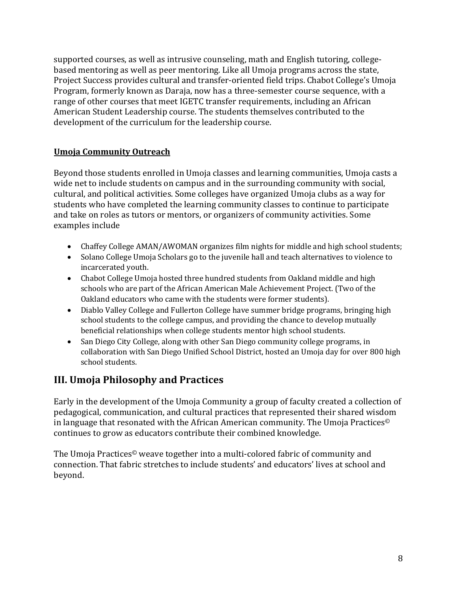supported courses, as well as intrusive counseling, math and English tutoring, collegebased mentoring as well as peer mentoring. Like all Umoja programs across the state, Project Success provides cultural and transfer-oriented field trips. Chabot College's Umoja Program, formerly known as Daraja, now has a three-semester course sequence, with a range of other courses that meet IGETC transfer requirements, including an African American Student Leadership course. The students themselves contributed to the development of the curriculum for the leadership course.

## **Umoja Community Outreach**

Beyond those students enrolled in Umoja classes and learning communities, Umoja casts a wide net to include students on campus and in the surrounding community with social, cultural, and political activities. Some colleges have organized Umoja clubs as a way for students who have completed the learning community classes to continue to participate and take on roles as tutors or mentors, or organizers of community activities. Some examples include

- Chaffey College AMAN/AWOMAN organizes film nights for middle and high school students;
- Solano College Umoja Scholars go to the juvenile hall and teach alternatives to violence to incarcerated youth.
- Chabot College Umoja hosted three hundred students from Oakland middle and high schools who are part of the African American Male Achievement Project. (Two of the Oakland educators who came with the students were former students).
- Diablo Valley College and Fullerton College have summer bridge programs, bringing high school students to the college campus, and providing the chance to develop mutually beneficial relationships when college students mentor high school students.
- San Diego City College, along with other San Diego community college programs, in collaboration with San Diego Unified School District, hosted an Umoja day for over 800 high school students.

## **III. Umoja Philosophy and Practices**

Early in the development of the Umoja Community a group of faculty created a collection of pedagogical, communication, and cultural practices that represented their shared wisdom in language that resonated with the African American community. The Umoja Practices<sup> $\odot$ </sup> continues to grow as educators contribute their combined knowledge.

The Umoja Practices<sup>®</sup> weave together into a multi-colored fabric of community and connection. That fabric stretches to include students' and educators' lives at school and beyond.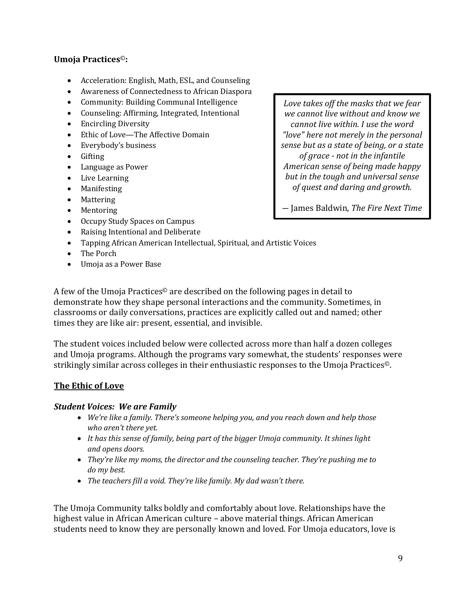#### **Umoja Practices**©**:**

- Acceleration: English, Math, ESL, and Counseling
- Awareness of Connectedness to African Diaspora
- Community: Building Communal Intelligence
- Counseling: Affirming, Integrated, Intentional
- Encircling Diversity
- Ethic of Love—The Affective Domain
- Everybody's business
- Gifting
- Language as Power
- Live Learning
- Manifesting
- Mattering
- Mentoring
- Occupy Study Spaces on Campus
- Raising Intentional and Deliberate
- Tapping African American Intellectual, Spiritual, and Artistic Voices
- The Porch
- Umoja as a Power Base

A few of the Umoja Practices<sup> $\odot$ </sup> are described on the following pages in detail to demonstrate how they shape personal interactions and the community. Sometimes, in classrooms or daily conversations, practices are explicitly called out and named; other times they are like air: present, essential, and invisible.

The student voices included below were collected across more than half a dozen colleges and Umoja programs. Although the programs vary somewhat, the students' responses were strikingly similar across colleges in their enthusiastic responses to the Umoja Practices<sup>®</sup>.

#### **The Ethic of Love**

#### **Student Voices: We are Family**

- *We're like a family. There's someone helping you, and you reach down and help those* who aren't there yet.
- It has this sense of family, being part of the bigger Umoja community. It shines light *and opens doors.*
- *They're like my moms, the director and the counseling teacher. They're pushing me to do my best.*
- *The teachers fill a void. They're like family. My dad wasn't there.*

The Umoja Community talks boldly and comfortably about love. Relationships have the highest value in African American culture – above material things. African American students need to know they are personally known and loved. For Umoja educators, love is

Love takes off the masks that we fear *we cannot live without and know we cannot live within. I use the word "love" here not merely in the personal sense but as a state of being, or a state of grace* - *not* in the infantile *American sense of being made happy but in the tough and universal sense of quest and daring and growth.*

― James Baldwin, *The Fire Next Time*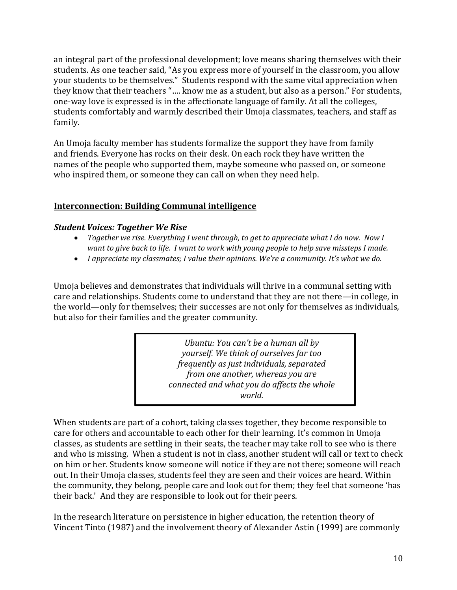an integral part of the professional development; love means sharing themselves with their students. As one teacher said, "As you express more of yourself in the classroom, you allow your students to be themselves." Students respond with the same vital appreciation when they know that their teachers ".... know me as a student, but also as a person." For students, one-way love is expressed is in the affectionate language of family. At all the colleges, students comfortably and warmly described their Umoja classmates, teachers, and staff as family. 

An Umoja faculty member has students formalize the support they have from family and friends. Everyone has rocks on their desk. On each rock they have written the names of the people who supported them, maybe someone who passed on, or someone who inspired them, or someone they can call on when they need help.

#### **Interconnection: Building Communal intelligence**

#### **Student Voices: Together We Rise**

- *Together we rise. Everything I went through, to get to appreciate what I do now. Now I want to give back to life. I want to work with young people to help save missteps I made.*
- *I appreciate my classmates; I value their opinions. We're a community. It's what we do.*

Umoja believes and demonstrates that individuals will thrive in a communal setting with care and relationships. Students come to understand that they are not there—in college, in the world—only for themselves; their successes are not only for themselves as individuals, but also for their families and the greater community.

> *Ubuntu: You can't be a human all by yourself.* We think of ourselves far too *frequently as just individuals, separated from one another, whereas you are connected and what you do affects the whole world.*

> > - Desmond Tutu

When students are part of a cohort, taking classes together, they become responsible to care for others and accountable to each other for their learning. It's common in Umoja classes, as students are settling in their seats, the teacher may take roll to see who is there and who is missing. When a student is not in class, another student will call or text to check on him or her. Students know someone will notice if they are not there; someone will reach out. In their Umoja classes, students feel they are seen and their voices are heard. Within the community, they belong, people care and look out for them; they feel that someone 'has their back.' And they are responsible to look out for their peers.

In the research literature on persistence in higher education, the retention theory of Vincent Tinto (1987) and the involvement theory of Alexander Astin (1999) are commonly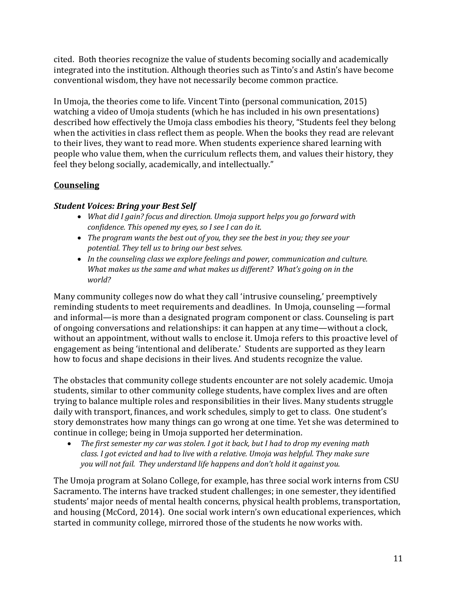cited. Both theories recognize the value of students becoming socially and academically integrated into the institution. Although theories such as Tinto's and Astin's have become conventional wisdom, they have not necessarily become common practice.

In Umoja, the theories come to life. Vincent Tinto (personal communication, 2015) watching a video of Umoja students (which he has included in his own presentations) described how effectively the Umoja class embodies his theory, "Students feel they belong when the activities in class reflect them as people. When the books they read are relevant to their lives, they want to read more. When students experience shared learning with people who value them, when the curriculum reflects them, and values their history, they feel they belong socially, academically, and intellectually."

## **Counseling**

## **Student Voices: Bring your Best Self**

- *What did I gain?* focus and direction. Umoja support helps you go forward with confidence. This opened my eyes, so I see I can do it.
- *The program wants the best out of you, they see the best in you; they see your* potential. They tell us to bring our best selves.
- In the counseling class we explore feelings and power, communication and culture. *What makes us the same and what makes us different? What's going on in the world?*

Many community colleges now do what they call 'intrusive counseling,' preemptively reminding students to meet requirements and deadlines. In Umoja, counseling —formal and informal—is more than a designated program component or class. Counseling is part of ongoing conversations and relationships: it can happen at any time—without a clock, without an appointment, without walls to enclose it. Umoja refers to this proactive level of engagement as being 'intentional and deliberate.' Students are supported as they learn how to focus and shape decisions in their lives. And students recognize the value.

The obstacles that community college students encounter are not solely academic. Umoja students, similar to other community college students, have complex lives and are often trying to balance multiple roles and responsibilities in their lives. Many students struggle daily with transport, finances, and work schedules, simply to get to class. One student's story demonstrates how many things can go wrong at one time. Yet she was determined to continue in college; being in Umoja supported her determination.

• The first semester my car was stolen. I got it back, but I had to drop my evening math *class.* I got evicted and had to live with a relative. Umoja was helpful. They make sure *you* will not fail. They understand life happens and don't hold it against you.

The Umoja program at Solano College, for example, has three social work interns from CSU Sacramento. The interns have tracked student challenges; in one semester, they identified students' major needs of mental health concerns, physical health problems, transportation, and housing (McCord, 2014). One social work intern's own educational experiences, which started in community college, mirrored those of the students he now works with.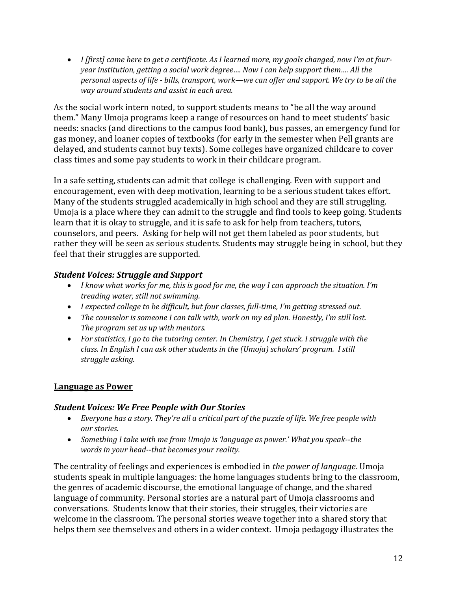• *I* [first] came here to get a certificate. As I learned more, my goals changed, now I'm at four*year institution, getting a social work degree.... Now I can help support them.... All the personal aspects of life - bills, transport, work—we can offer and support. We try to be all the way around students and assist in each area.* 

As the social work intern noted, to support students means to "be all the way around them." Many Umoja programs keep a range of resources on hand to meet students' basic needs: snacks (and directions to the campus food bank), bus passes, an emergency fund for gas money, and loaner copies of textbooks (for early in the semester when Pell grants are delayed, and students cannot buy texts). Some colleges have organized childcare to cover class times and some pay students to work in their childcare program.

In a safe setting, students can admit that college is challenging. Even with support and encouragement, even with deep motivation, learning to be a serious student takes effort. Many of the students struggled academically in high school and they are still struggling. Umoja is a place where they can admit to the struggle and find tools to keep going. Students learn that it is okay to struggle, and it is safe to ask for help from teachers, tutors, counselors, and peers. Asking for help will not get them labeled as poor students, but rather they will be seen as serious students. Students may struggle being in school, but they feel that their struggles are supported.

## *Student Voices: Struggle and Support*

- I know what works for me, this is good for me, the way I can approach the situation. I'm *treading water, still not swimming.*
- *I expected college to be difficult, but four classes, full-time, I'm getting stressed out.*
- The counselor is someone I can talk with, work on my ed plan. Honestly, I'm still lost. *The program set us up with mentors.*
- For statistics, I go to the tutoring center. In Chemistry, I get stuck. I struggle with the *class. In English I can ask other students in the (Umoja) scholars' program. I still struggle asking.*

## **Language as Power**

## **Student Voices: We Free People with Our Stories**

- *Everyone has a story. They're all a critical part of the puzzle of life. We free people with our stories.*
- Something I take with me from Umoja is 'language as power.' What you speak--the *words in your head--that becomes your reality.*

The centrality of feelings and experiences is embodied in *the power of language*. Umoja students speak in multiple languages: the home languages students bring to the classroom, the genres of academic discourse, the emotional language of change, and the shared language of community. Personal stories are a natural part of Umoja classrooms and conversations. Students know that their stories, their struggles, their victories are welcome in the classroom. The personal stories weave together into a shared story that helps them see themselves and others in a wider context. Umoja pedagogy illustrates the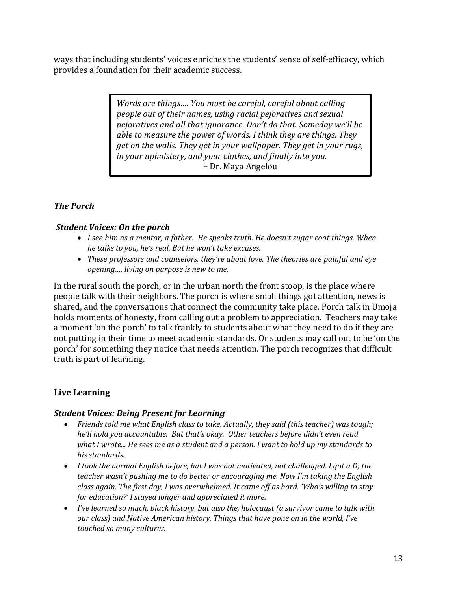ways that including students' voices enriches the students' sense of self-efficacy, which provides a foundation for their academic success.

> *Words are things.... You must be careful, careful about calling people out of their names, using racial pejoratives and sexual pejoratives and all that ignorance. Don't do that. Someday we'll be able to measure the power of words. I think they are things. They get* on the walls. They get in your wallpaper. They get in your rugs, *in your upholstery, and your clothes, and finally into you.* – Dr. Maya Angelou

## *The Porch*

#### *Student Voices: On the porch*

- *I see him as a mentor, a father. He speaks truth. He doesn't sugar coat things. When he talks to you, he's real. But he won't take excuses.*
- *These professors and counselors, they're about love. The theories are painful and eye opening.... living on purpose is new to me.*

In the rural south the porch, or in the urban north the front stoop, is the place where people talk with their neighbors. The porch is where small things got attention, news is shared, and the conversations that connect the community take place. Porch talk in Umoja holds moments of honesty, from calling out a problem to appreciation. Teachers may take a moment 'on the porch' to talk frankly to students about what they need to do if they are not putting in their time to meet academic standards. Or students may call out to be 'on the porch' for something they notice that needs attention. The porch recognizes that difficult truth is part of learning.

## **Live Learning**

#### **Student Voices: Being Present for Learning**

- Friends told me what English class to take. Actually, they said (this teacher) was tough; *he'll hold you accountable. But that's okay. Other teachers before didn't even read* what I wrote... He sees me as a student and a person. I want to hold up my standards to his *standards.*
- I took the normal English before, but I was not motivated, not challenged. I got a D; the *teacher* wasn't pushing me to do better or encouraging me. Now I'm taking the English *class again. The first day, I was overwhelmed. It came off as hard. 'Who's willing to stay for education?'* I stayed longer and appreciated it more.
- *I've learned so much, black history, but also the, holocaust (a survivor came to talk with our* class) and Native American history. Things that have gone on in the world, I've touched so many cultures.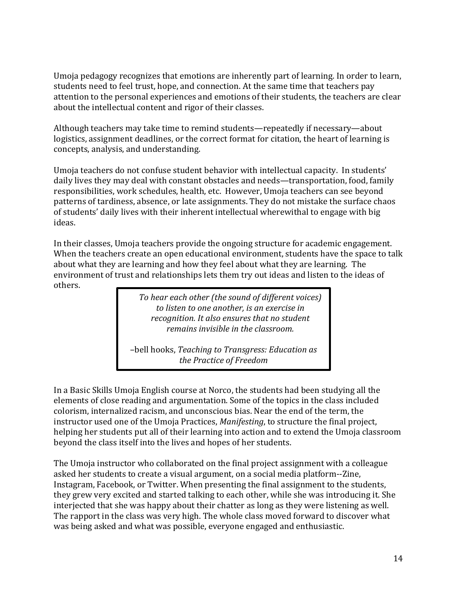Umoja pedagogy recognizes that emotions are inherently part of learning. In order to learn, students need to feel trust, hope, and connection. At the same time that teachers pay attention to the personal experiences and emotions of their students, the teachers are clear about the intellectual content and rigor of their classes.

Although teachers may take time to remind students—repeatedly if necessary—about logistics, assignment deadlines, or the correct format for citation, the heart of learning is concepts, analysis, and understanding.

Umoja teachers do not confuse student behavior with intellectual capacity. In students' daily lives they may deal with constant obstacles and needs—transportation, food, family responsibilities, work schedules, health, etc. However, Umoja teachers can see beyond patterns of tardiness, absence, or late assignments. They do not mistake the surface chaos of students' daily lives with their inherent intellectual wherewithal to engage with big ideas. 

In their classes, Umoja teachers provide the ongoing structure for academic engagement. When the teachers create an open educational environment, students have the space to talk about what they are learning and how they feel about what they are learning. The environment of trust and relationships lets them try out ideas and listen to the ideas of others. 

> To hear each other (the sound of different voices) to listen to one another, is an exercise in recognition. It also ensures that no student *remains invisible in the classroom.*

–bell hooks, *Teaching to Transgress: Education as the Practice of Freedom*

In a Basic Skills Umoja English course at Norco, the students had been studying all the elements of close reading and argumentation. Some of the topics in the class included colorism, internalized racism, and unconscious bias. Near the end of the term, the instructor used one of the Umoja Practices, *Manifesting*, to structure the final project, helping her students put all of their learning into action and to extend the Umoja classroom beyond the class itself into the lives and hopes of her students.

The Umoja instructor who collaborated on the final project assignment with a colleague asked her students to create a visual argument, on a social media platform--Zine, Instagram, Facebook, or Twitter. When presenting the final assignment to the students, they grew very excited and started talking to each other, while she was introducing it. She interjected that she was happy about their chatter as long as they were listening as well. The rapport in the class was very high. The whole class moved forward to discover what was being asked and what was possible, everyone engaged and enthusiastic.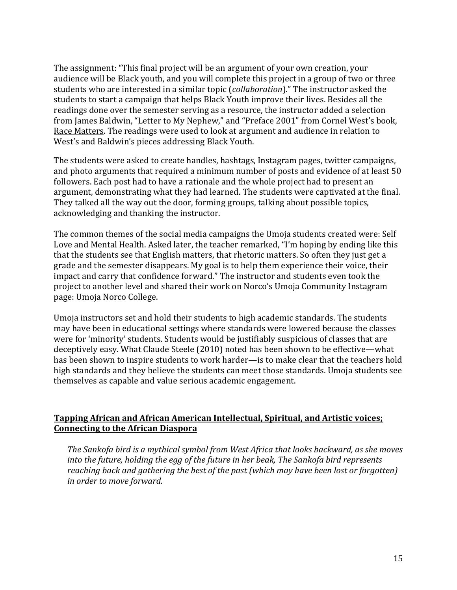The assignment: "This final project will be an argument of your own creation, your audience will be Black youth, and you will complete this project in a group of two or three students who are interested in a similar topic (*collaboration*)." The instructor asked the students to start a campaign that helps Black Youth improve their lives. Besides all the readings done over the semester serving as a resource, the instructor added a selection from James Baldwin, "Letter to My Nephew," and "Preface 2001" from Cornel West's book, Race Matters. The readings were used to look at argument and audience in relation to West's and Baldwin's pieces addressing Black Youth.

The students were asked to create handles, hashtags, Instagram pages, twitter campaigns, and photo arguments that required a minimum number of posts and evidence of at least 50 followers. Each post had to have a rationale and the whole project had to present an argument, demonstrating what they had learned. The students were captivated at the final. They talked all the way out the door, forming groups, talking about possible topics, acknowledging and thanking the instructor.

The common themes of the social media campaigns the Umoja students created were: Self Love and Mental Health. Asked later, the teacher remarked, "I'm hoping by ending like this that the students see that English matters, that rhetoric matters. So often they just get a grade and the semester disappears. My goal is to help them experience their voice, their impact and carry that confidence forward." The instructor and students even took the project to another level and shared their work on Norco's Umoja Community Instagram page: Umoja Norco College.

Umoja instructors set and hold their students to high academic standards. The students may have been in educational settings where standards were lowered because the classes were for 'minority' students. Students would be justifiably suspicious of classes that are deceptively easy. What Claude Steele (2010) noted has been shown to be effective—what has been shown to inspire students to work harder—is to make clear that the teachers hold high standards and they believe the students can meet those standards. Umoja students see themselves as capable and value serious academic engagement.

#### **Tapping African and African American Intellectual, Spiritual, and Artistic voices; Connecting to the African Diaspora**

The Sankofa bird is a mythical symbol from West Africa that looks backward, as she moves *into the future, holding the egg of the future in her beak, The Sankofa bird represents reaching back and gathering the best of the past (which may have been lost or forgotten) in order to move forward.*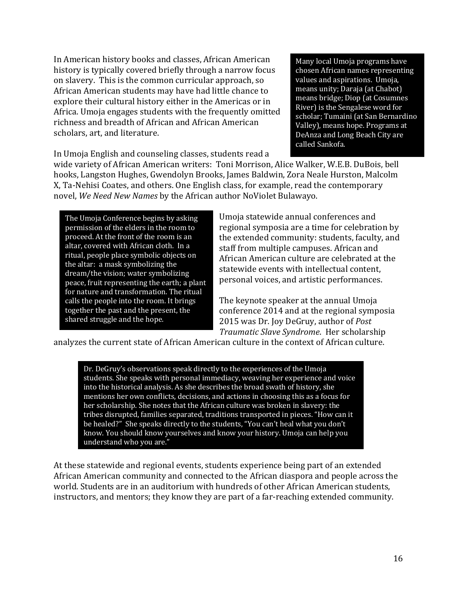In American history books and classes, African American history is typically covered briefly through a narrow focus on slavery. This is the common curricular approach, so African American students may have had little chance to explore their cultural history either in the Americas or in Africa. Umoja engages students with the frequently omitted richness and breadth of African and African American scholars, art, and literature.

In Umoja English and counseling classes, students read a

Many local Umoja programs have chosen African names representing values and aspirations. Umoja, means unity; Daraja (at Chabot) means bridge; Diop (at Cosumnes River) is the Sengalese word for scholar; Tumaini (at San Bernardino Valley), means hope. Programs at DeAnza and Long Beach City are called Sankofa.

wide variety of African American writers: Toni Morrison, Alice Walker, W.E.B. DuBois, bell hooks, Langston Hughes, Gwendolyn Brooks, James Baldwin, Zora Neale Hurston, Malcolm X, Ta-Nehisi Coates, and others. One English class, for example, read the contemporary novel, We Need New Names by the African author NoViolet Bulawayo.

The Umoja Conference begins by asking permission of the elders in the room to proceed. At the front of the room is an altar, covered with African cloth. In a ritual, people place symbolic objects on the altar: a mask symbolizing the dream/the vision; water symbolizing peace, fruit representing the earth; a plant for nature and transformation. The ritual calls the people into the room. It brings together the past and the present, the shared struggle and the hope.

Umoja statewide annual conferences and regional symposia are a time for celebration by the extended community: students, faculty, and staff from multiple campuses. African and African American culture are celebrated at the statewide events with intellectual content, personal voices, and artistic performances.

The keynote speaker at the annual Umoja conference 2014 and at the regional symposia 2015 was Dr. Joy DeGruy, author of *Post Traumatic Slave Syndrome*. Her scholarship 

analyzes the current state of African American culture in the context of African culture.

Dr. DeGruy's observations speak directly to the experiences of the Umoja students. She speaks with personal immediacy, weaving her experience and voice into the historical analysis. As she describes the broad swath of history, she mentions her own conflicts, decisions, and actions in choosing this as a focus for her scholarship. She notes that the African culture was broken in slavery: the tribes disrupted, families separated, traditions transported in pieces. "How can it be healed?" She speaks directly to the students, "You can't heal what you don't know. You should know yourselves and know your history. Umoja can help you understand who you are."

At these statewide and regional events, students experience being part of an extended African American community and connected to the African diaspora and people across the world. Students are in an auditorium with hundreds of other African American students, instructors, and mentors; they know they are part of a far-reaching extended community.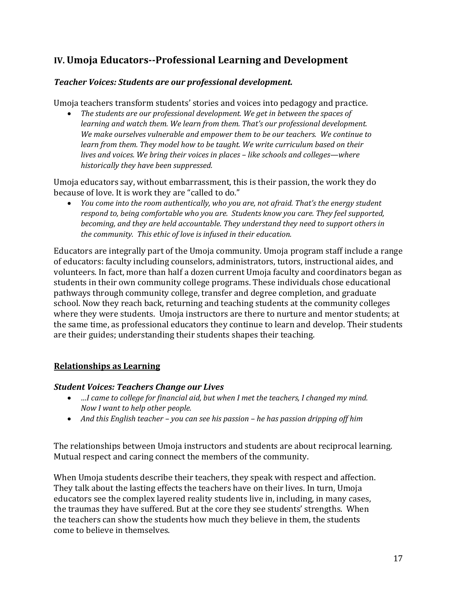## **IV. Umoja Educators--Professional Learning and Development**

### *Teacher Voices: Students are our professional development.*

Umoja teachers transform students' stories and voices into pedagogy and practice.

• The students are our professional development. We get in between the spaces of *learning and watch them. We learn from them. That's our professional development.* We make ourselves vulnerable and empower them to be our teachers. We continue to *learn from them. They model how to be taught. We write curriculum based on their lives and voices.* We bring their voices in places - like schools and colleges—where *historically they have been suppressed.* 

Umoja educators say, without embarrassment, this is their passion, the work they do because of love. It is work they are "called to do."

*You come into the room authentically, who you are, not afraid. That's the energy student respond to, being comfortable who you are. Students know you care. They feel supported, becoming, and they are held accountable. They understand they need to support others in* the community. This ethic of love is infused in their education.

Educators are integrally part of the Umoja community. Umoja program staff include a range of educators: faculty including counselors, administrators, tutors, instructional aides, and volunteers. In fact, more than half a dozen current Umoja faculty and coordinators began as students in their own community college programs. These individuals chose educational pathways through community college, transfer and degree completion, and graduate school. Now they reach back, returning and teaching students at the community colleges where they were students. Umoja instructors are there to nurture and mentor students; at the same time, as professional educators they continue to learn and develop. Their students are their guides; understanding their students shapes their teaching.

#### **Relationships as Learning**

#### *Student Voices: Teachers Change our Lives*

- *…I* came to college for financial aid, but when I met the teachers, I changed my mind. *Now I want to help other people.*
- And this English teacher you can see his passion he has passion dripping off him

The relationships between Umoja instructors and students are about reciprocal learning. Mutual respect and caring connect the members of the community.

When Umoja students describe their teachers, they speak with respect and affection. They talk about the lasting effects the teachers have on their lives. In turn, Umoja educators see the complex layered reality students live in, including, in many cases, the traumas they have suffered. But at the core they see students' strengths. When the teachers can show the students how much they believe in them, the students come to believe in themselves.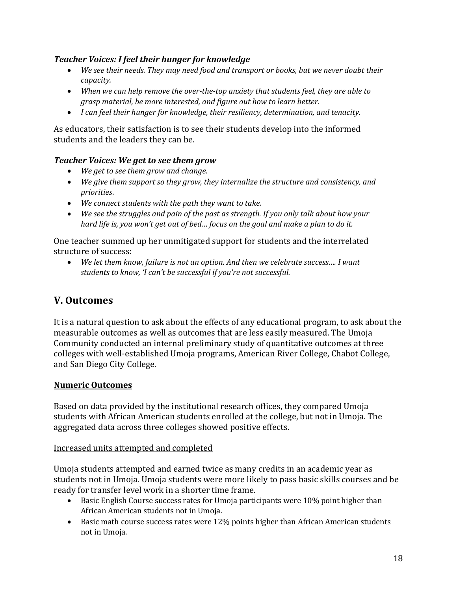## **Teacher Voices: I feel their hunger for knowledge**

- We see their needs. They may need food and transport or books, but we never doubt their *capacity.*
- When we can help remove the over-the-top anxiety that students feel, they are able to *grasp* material, be more interested, and figure out how to learn better.
- *I can feel their hunger for knowledge, their resiliency, determination, and tenacity.*

As educators, their satisfaction is to see their students develop into the informed students and the leaders they can be.

#### *Teacher Voices: We get to see them grow*

- *We get to see them grow and change.*
- We give them support so they grow, they internalize the structure and consistency, and *priorities*.
- We connect students with the path they want to take.
- We see the struggles and pain of the past as strength. If you only talk about how your *hard life is, you won't get out of bed... focus on the goal and make a plan to do it.*

One teacher summed up her unmitigated support for students and the interrelated structure of success:

We let them know, failure is not an option. And then we celebrate success.... I want students to know, 'I can't be successful if you're not successful.

## **V. Outcomes**

It is a natural question to ask about the effects of any educational program, to ask about the measurable outcomes as well as outcomes that are less easily measured. The Umoja Community conducted an internal preliminary study of quantitative outcomes at three colleges with well-established Umoja programs, American River College, Chabot College, and San Diego City College.

#### **Numeric Outcomes**

Based on data provided by the institutional research offices, they compared Umoja students with African American students enrolled at the college, but not in Umoja. The aggregated data across three colleges showed positive effects.

#### Increased units attempted and completed

Umoja students attempted and earned twice as many credits in an academic year as students not in Umoja. Umoja students were more likely to pass basic skills courses and be ready for transfer level work in a shorter time frame.

- Basic English Course success rates for Umoja participants were 10% point higher than African American students not in Umoja.
- Basic math course success rates were 12% points higher than African American students not in Umoja.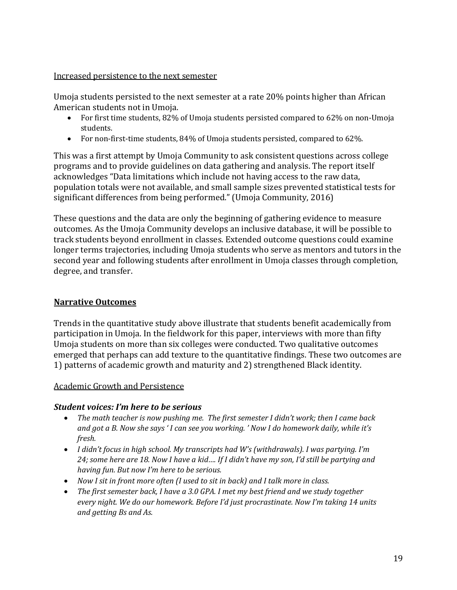Increased persistence to the next semester

Umoja students persisted to the next semester at a rate  $20\%$  points higher than African American students not in Umoja.

- For first time students, 82% of Umoja students persisted compared to 62% on non-Umoja students.
- For non-first-time students, 84% of Umoja students persisted, compared to 62%.

This was a first attempt by Umoja Community to ask consistent questions across college programs and to provide guidelines on data gathering and analysis. The report itself acknowledges "Data limitations which include not having access to the raw data, population totals were not available, and small sample sizes prevented statistical tests for significant differences from being performed." (Umoja Community, 2016)

These questions and the data are only the beginning of gathering evidence to measure outcomes. As the Umoja Community develops an inclusive database, it will be possible to track students beyond enrollment in classes. Extended outcome questions could examine longer terms trajectories, including Umoja students who serve as mentors and tutors in the second year and following students after enrollment in Umoja classes through completion, degree, and transfer.

## **Narrative Outcomes**

Trends in the quantitative study above illustrate that students benefit academically from participation in Umoja. In the fieldwork for this paper, interviews with more than fifty Umoja students on more than six colleges were conducted. Two qualitative outcomes emerged that perhaps can add texture to the quantitative findings. These two outcomes are 1) patterns of academic growth and maturity and 2) strengthened Black identity.

#### Academic Growth and Persistence

## *Student voices: I'm here to be serious*

- The math teacher is now pushing me. The first semester I didn't work; then I came back and got a B. Now she says 'I can see you working. ' Now I do homework daily, while it's *fresh.*
- I didn't focus in high school. My transcripts had W's (withdrawals). I was partying. I'm 24; some here are 18. Now I have a kid.... If I didn't have my son, I'd still be partying and *having fun. But now I'm here to be serious.*
- *Now I sit in front more often (I used to sit in back) and I talk more in class.*
- The first semester back, I have a 3.0 GPA. I met my best friend and we study together every night. We do our homework. Before I'd just procrastinate. Now I'm taking 14 units and *getting* Bs and As.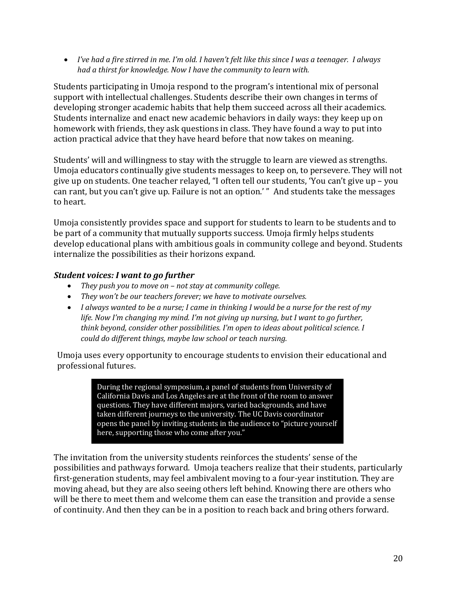• *I've had a fire stirred in me. I'm old. I haven't felt like this since I was a teenager. I always* had a thirst for knowledge. Now I have the community to learn with.

Students participating in Umoja respond to the program's intentional mix of personal support with intellectual challenges. Students describe their own changes in terms of developing stronger academic habits that help them succeed across all their academics. Students internalize and enact new academic behaviors in daily ways: they keep up on homework with friends, they ask questions in class. They have found a way to put into action practical advice that they have heard before that now takes on meaning.

Students' will and willingness to stay with the struggle to learn are viewed as strengths. Umoja educators continually give students messages to keep on, to persevere. They will not give up on students. One teacher relayed, "I often tell our students, 'You can't give up - you can rant, but you can't give up. Failure is not an option.' " And students take the messages to heart. 

Umoja consistently provides space and support for students to learn to be students and to be part of a community that mutually supports success. Umoja firmly helps students develop educational plans with ambitious goals in community college and beyond. Students internalize the possibilities as their horizons expand.

## *Student voices: I want to go further*

- *They push you to move on not stay at community college.*
- They won't be our teachers forever; we have to motivate ourselves.
- *I* always wanted to be a nurse; I came in thinking I would be a nurse for the rest of my *life.* Now I'm changing my mind. I'm not giving up nursing, but I want to go further, *think beyond, consider other possibilities. I'm open to ideas about political science. I* could do different things, maybe law school or teach nursing.

Umoja uses every opportunity to encourage students to envision their educational and professional futures.

> During the regional symposium, a panel of students from University of California Davis and Los Angeles are at the front of the room to answer questions. They have different majors, varied backgrounds, and have taken different journeys to the university. The UC Davis coordinator opens the panel by inviting students in the audience to "picture yourself here, supporting those who come after you."

The invitation from the university students reinforces the students' sense of the possibilities and pathways forward. Umoja teachers realize that their students, particularly first-generation students, may feel ambivalent moving to a four-year institution. They are moving ahead, but they are also seeing others left behind. Knowing there are others who will be there to meet them and welcome them can ease the transition and provide a sense of continuity. And then they can be in a position to reach back and bring others forward.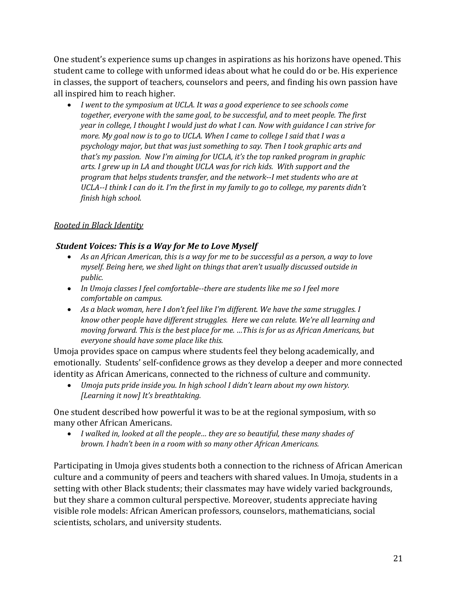One student's experience sums up changes in aspirations as his horizons have opened. This student came to college with unformed ideas about what he could do or be. His experience in classes, the support of teachers, counselors and peers, and finding his own passion have all inspired him to reach higher.

• *I* went to the symposium at UCLA. It was a good experience to see schools come together, everyone with the same goal, to be successful, and to meet people. The first *year* in college, I thought I would just do what I can. Now with guidance I can strive for *more.* My goal now is to go to UCLA. When I came to college I said that I was a *psychology major, but that was just something to say. Then I took graphic arts and that's* my passion. Now I'm aiming for UCLA, it's the top ranked program in graphic arts. I grew up in LA and thought UCLA was for rich kids. With support and the program that helps students transfer, and the network--I met students who are at *UCLA--I* think *I* can do it. I'm the first in my family to go to college, my parents didn't *finish high school.*

## **Rooted** in Black Identity

#### **Student Voices: This is a Way for Me to Love Myself**

- As an African American, this is a way for me to be successful as a person, a way to love *myself.* Being here, we shed light on things that aren't usually discussed outside in *public.*
- In Umoja classes I feel comfortable--there are students like me so I feel more comfortable on campus.
- As a black woman, here I don't feel like I'm different. We have the same struggles. I *know other people have different struggles. Here we can relate. We're all learning and moving forward. This is the best place for me. ...This is for us as African Americans, but* everyone should have some place like this.

Umoja provides space on campus where students feel they belong academically, and emotionally. Students' self-confidence grows as they develop a deeper and more connected identity as African Americans, connected to the richness of culture and community.

• *Umoja puts pride inside you. In high school I didn't learn about my own history. [Learning it now] It's breathtaking.* 

One student described how powerful it was to be at the regional symposium, with so many other African Americans.

• *I* walked in, looked at all the people... they are so beautiful, these many shades of *brown. I hadn't been in a room with so many other African Americans.* 

Participating in Umoja gives students both a connection to the richness of African American culture and a community of peers and teachers with shared values. In Umoja, students in a setting with other Black students; their classmates may have widely varied backgrounds, but they share a common cultural perspective. Moreover, students appreciate having visible role models: African American professors, counselors, mathematicians, social scientists, scholars, and university students.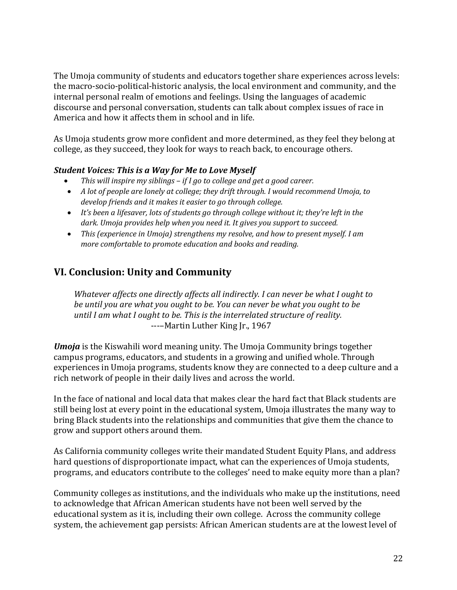The Umoja community of students and educators together share experiences across levels: the macro-socio-political-historic analysis, the local environment and community, and the internal personal realm of emotions and feelings. Using the languages of academic discourse and personal conversation, students can talk about complex issues of race in America and how it affects them in school and in life.

As Umoja students grow more confident and more determined, as they feel they belong at college, as they succeed, they look for ways to reach back, to encourage others.

## **Student Voices: This is a Way for Me to Love Myself**

- *This* will inspire my siblings if I go to college and get a good career.
- A lot of people are lonely at college; they drift through. I would recommend Umoja, to *develop* friends and it makes it easier to go through college.
- It's been a lifesaver, lots of students go through college without it; they're left in the dark. Umoja provides help when you need it. It gives you support to succeed.
- *This (experience in Umoja)* strengthens my resolve, and how to present myself. I am *more comfortable to promote education and books and reading.*

## **VI. Conclusion: Unity and Community**

*Whatever affects one directly affects all indirectly. I can never be what I ought to be until you are what you ought to be. You can never be what you ought to be until I am what I ought to be. This is the interrelated structure of reality.* ----Martin Luther King Jr., 1967

*Umoja* is the Kiswahili word meaning unity. The Umoja Community brings together campus programs, educators, and students in a growing and unified whole. Through experiences in Umoja programs, students know they are connected to a deep culture and a rich network of people in their daily lives and across the world.

In the face of national and local data that makes clear the hard fact that Black students are still being lost at every point in the educational system, Umoja illustrates the many way to bring Black students into the relationships and communities that give them the chance to grow and support others around them.

As California community colleges write their mandated Student Equity Plans, and address hard questions of disproportionate impact, what can the experiences of Umoja students, programs, and educators contribute to the colleges' need to make equity more than a plan?

Community colleges as institutions, and the individuals who make up the institutions, need to acknowledge that African American students have not been well served by the educational system as it is, including their own college. Across the community college system, the achievement gap persists: African American students are at the lowest level of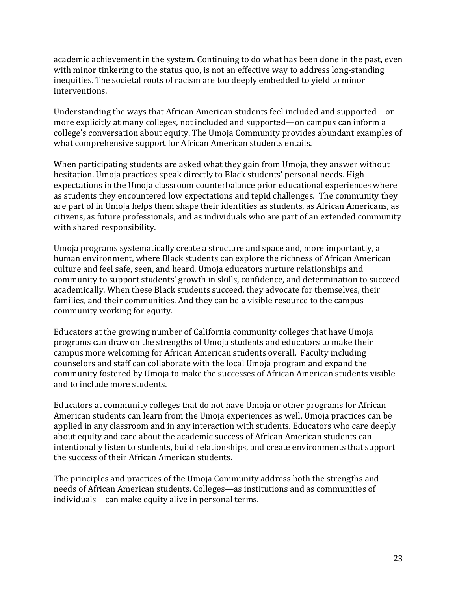academic achievement in the system. Continuing to do what has been done in the past, even with minor tinkering to the status quo, is not an effective way to address long-standing inequities. The societal roots of racism are too deeply embedded to yield to minor interventions.

Understanding the ways that African American students feel included and supported—or more explicitly at many colleges, not included and supported—on campus can inform a college's conversation about equity. The Umoja Community provides abundant examples of what comprehensive support for African American students entails.

When participating students are asked what they gain from Umoja, they answer without hesitation. Umoja practices speak directly to Black students' personal needs. High expectations in the Umoja classroom counterbalance prior educational experiences where as students they encountered low expectations and tepid challenges. The community they are part of in Umoja helps them shape their identities as students, as African Americans, as citizens, as future professionals, and as individuals who are part of an extended community with shared responsibility.

Umoja programs systematically create a structure and space and, more importantly, a human environment, where Black students can explore the richness of African American culture and feel safe, seen, and heard. Umoja educators nurture relationships and community to support students' growth in skills, confidence, and determination to succeed academically. When these Black students succeed, they advocate for themselves, their families, and their communities. And they can be a visible resource to the campus community working for equity.

Educators at the growing number of California community colleges that have Umoja programs can draw on the strengths of Umoja students and educators to make their campus more welcoming for African American students overall. Faculty including counselors and staff can collaborate with the local Umoja program and expand the community fostered by Umoja to make the successes of African American students visible and to include more students.

Educators at community colleges that do not have Umoja or other programs for African American students can learn from the Umoja experiences as well. Umoja practices can be applied in any classroom and in any interaction with students. Educators who care deeply about equity and care about the academic success of African American students can intentionally listen to students, build relationships, and create environments that support the success of their African American students.

The principles and practices of the Umoja Community address both the strengths and needs of African American students. Colleges—as institutions and as communities of individuals—can make equity alive in personal terms.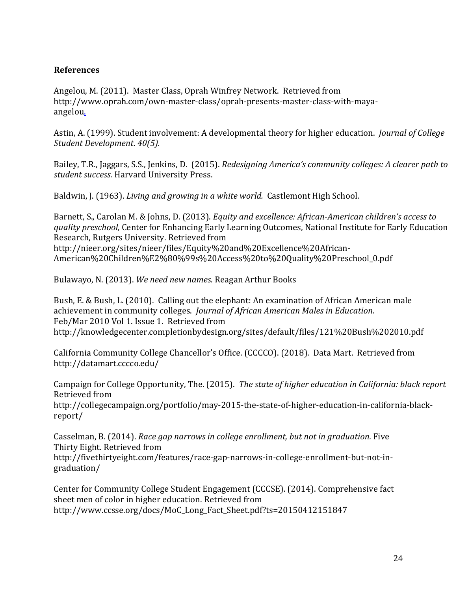#### **References**

Angelou, M. (2011). Master Class, Oprah Winfrey Network. Retrieved from http://www.oprah.com/own-master-class/oprah-presents-master-class-with-mayaangelou.

Astin, A. (1999). Student involvement: A developmental theory for higher education. *Journal of College Student Development*. *40(5).*

Bailey, T.R., Jaggars, S.S., Jenkins, D. (2015). *Redesigning America's community colleges: A clearer path to* student success. Harvard University Press.

Baldwin, J. (1963). *Living and growing in a white world.* Castlemont High School.

Barnett, S., Carolan M. & Johns, D. (2013). *Equity and excellence: African-American children's access to quality preschool,* Center for Enhancing Early Learning Outcomes, National Institute for Early Education Research, Rutgers University. Retrieved from http://nieer.org/sites/nieer/files/Equity%20and%20Excellence%20African-American%20Children%E2%80%99s%20Access%20to%20Quality%20Preschool\_0.pdf

Bulawayo, N. (2013). *We need new names.* Reagan Arthur Books

Bush, E. & Bush, L. (2010). Calling out the elephant: An examination of African American male achievement in community colleges. *Journal of African American Males in Education.* Feb/Mar 2010 Vol 1. Issue 1. Retrieved from http://knowledgecenter.completionbydesign.org/sites/default/files/121%20Bush%202010.pdf 

California Community College Chancellor's Office. (CCCCO). (2018). Data Mart. Retrieved from http://datamart.cccco.edu/

Campaign for College Opportunity, The. (2015). The state of higher education in California: black report Retrieved from http://collegecampaign.org/portfolio/may-2015-the-state-of-higher-education-in-california-blackreport/

Casselman, B. (2014). *Race gap narrows in college enrollment, but not in graduation.* Five Thirty Eight. Retrieved from http://fivethirtyeight.com/features/race-gap-narrows-in-college-enrollment-but-not-ingraduation/

Center for Community College Student Engagement (CCCSE). (2014). Comprehensive fact sheet men of color in higher education. Retrieved from http://www.ccsse.org/docs/MoC\_Long\_Fact\_Sheet.pdf?ts=20150412151847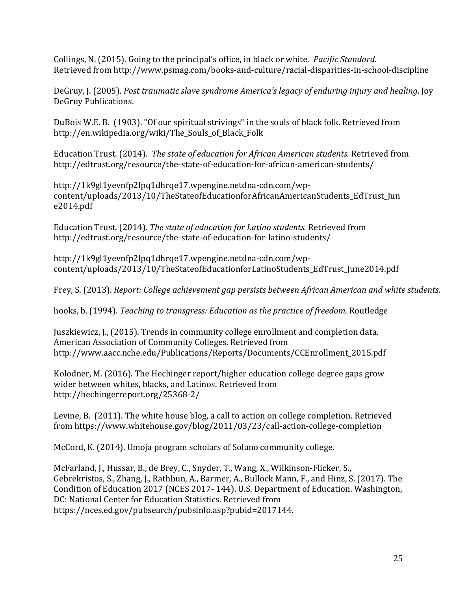Collings, N. (2015). Going to the principal's office, in black or white. *Pacific Standard.* Retrieved from http://www.psmag.com/books-and-culture/racial-disparities-in-school-discipline

DeGruy, J. (2005). *Post traumatic slave syndrome America's legacy of enduring injury and healing*. Joy DeGruy Publications.

DuBois W.E. B. (1903). "Of our spiritual strivings" in the souls of black folk. Retrieved from http://en.wikipedia.org/wiki/The\_Souls\_of\_Black\_Folk 

Education Trust. (2014). The state of education for African American students. Retrieved from http://edtrust.org/resource/the-state-of-education-for-african-american-students/

http://1k9gl1yevnfp2lpq1dhrqe17.wpengine.netdna-cdn.com/wpcontent/uploads/2013/10/TheStateofEducationforAfricanAmericanStudents\_EdTrust\_Jun e2014.pdf

Education Trust. (2014). *The state of education for Latino students*. Retrieved from http://edtrust.org/resource/the-state-of-education-for-latino-students/

http://1k9gl1yevnfp2lpq1dhrqe17.wpengine.netdna-cdn.com/wpcontent/uploads/2013/10/TheStateofEducationforLatinoStudents\_EdTrust\_June2014.pdf

Frey, S. (2013). *Report: College achievement gap persists between African American and white students.* 

hooks, b. (1994). *Teaching to transgress: Education as the practice of freedom.* Routledge

Juszkiewicz, J., (2015). Trends in community college enrollment and completion data. American Association of Community Colleges. Retrieved from http://www.aacc.nche.edu/Publications/Reports/Documents/CCEnrollment\_2015.pdf

Kolodner, M. (2016). The Hechinger report/higher education college degree gaps grow wider between whites, blacks, and Latinos. Retrieved from http://hechingerreport.org/25368-2/

Levine, B. (2011). The white house blog, a call to action on college completion. Retrieved from https://www.whitehouse.gov/blog/2011/03/23/call-action-college-completion

McCord, K. (2014). Umoja program scholars of Solano community college.

McFarland, J., Hussar, B., de Brey, C., Snyder, T., Wang, X., Wilkinson-Flicker, S., Gebrekristos, S., Zhang, J., Rathbun, A., Barmer, A., Bullock Mann, F., and Hinz, S. (2017). The Condition of Education 2017 (NCES 2017- 144). U.S. Department of Education. Washington, DC: National Center for Education Statistics. Retrieved from https://nces.ed.gov/pubsearch/pubsinfo.asp?pubid=2017144.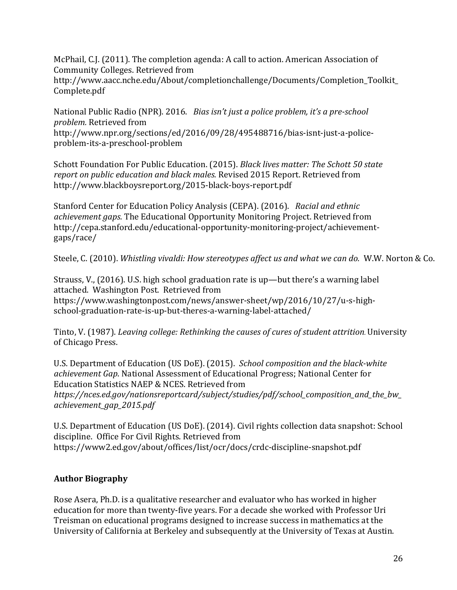McPhail, C.J.  $(2011)$ . The completion agenda: A call to action. American Association of Community Colleges. Retrieved from

http://www.aacc.nche.edu/About/completionchallenge/Documents/Completion\_Toolkit\_ Complete.pdf

National Public Radio (NPR). 2016. *Bias isn't just a police problem, it's a pre-school problem.* Retrieved from http://www.npr.org/sections/ed/2016/09/28/495488716/bias-isnt-just-a-policeproblem-its-a-preschool-problem

Schott Foundation For Public Education. (2015). *Black lives matter: The Schott 50 state report on public education and black males.* Revised 2015 Report. Retrieved from http://www.blackboysreport.org/2015-black-boys-report.pdf

Stanford Center for Education Policy Analysis (CEPA). (2016). Racial and ethnic *achievement gaps.* The Educational Opportunity Monitoring Project. Retrieved from http://cepa.stanford.edu/educational-opportunity-monitoring-project/achievementgaps/race/

Steele, C. (2010). *Whistling vivaldi: How stereotypes affect us and what we can do.* W.W. Norton & Co.

Strauss, V.,  $(2016)$ . U.S. high school graduation rate is up—but there's a warning label attached. Washington Post. Retrieved from https://www.washingtonpost.com/news/answer-sheet/wp/2016/10/27/u-s-highschool-graduation-rate-is-up-but-theres-a-warning-label-attached/

Tinto, V. (1987). *Leaving college: Rethinking the causes of cures of student attrition*. University of Chicago Press.

U.S. Department of Education (US DoE). (2015). *School composition and the black-white achievement Gap*. National Assessment of Educational Progress; National Center for Education Statistics NAEP & NCES. Retrieved from *https://nces.ed.gov/nationsreportcard/subject/studies/pdf/school\_composition\_and\_the\_bw\_ achievement\_gap\_2015.pdf*

U.S. Department of Education (US DoE). (2014). Civil rights collection data snapshot: School discipline. Office For Civil Rights. Retrieved from https://www2.ed.gov/about/offices/list/ocr/docs/crdc-discipline-snapshot.pdf

## **Author Biography**

Rose Asera, Ph.D. is a qualitative researcher and evaluator who has worked in higher education for more than twenty-five years. For a decade she worked with Professor Uri Treisman on educational programs designed to increase success in mathematics at the University of California at Berkeley and subsequently at the University of Texas at Austin.